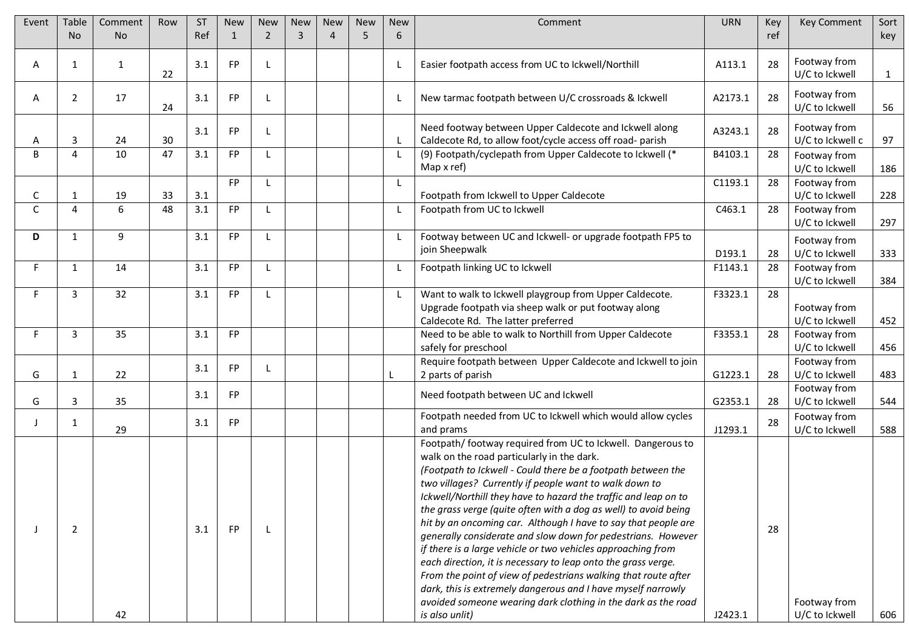| Event        | <b>Table</b>   | Comment      | Row             | <b>ST</b> | <b>New</b>   | <b>New</b>   | <b>New</b> | <b>New</b> | <b>New</b> | <b>New</b> | Comment                                                                                        | <b>URN</b> | Key | Key Comment                    | Sort         |
|--------------|----------------|--------------|-----------------|-----------|--------------|--------------|------------|------------|------------|------------|------------------------------------------------------------------------------------------------|------------|-----|--------------------------------|--------------|
|              | <b>No</b>      | <b>No</b>    |                 | Ref       | $\mathbf{1}$ | 2            | 3          | $\Delta$   | 5          | 6          |                                                                                                |            | ref |                                | key          |
|              |                |              |                 |           |              |              |            |            |            |            |                                                                                                |            |     |                                |              |
| A            | $\mathbf{1}$   | $\mathbf{1}$ |                 | 3.1       | FP           |              |            |            |            | L          | Easier footpath access from UC to Ickwell/Northill                                             | A113.1     | 28  | Footway from                   |              |
|              |                |              | 22              |           |              |              |            |            |            |            |                                                                                                |            |     | U/C to Ickwell                 | $\mathbf{1}$ |
| A            | $\overline{2}$ | 17           |                 | 3.1       | FP           |              |            |            |            | L          | New tarmac footpath between U/C crossroads & Ickwell                                           | A2173.1    | 28  | Footway from                   |              |
|              |                |              | 24              |           |              |              |            |            |            |            |                                                                                                |            |     | U/C to Ickwell                 | 56           |
|              |                |              |                 | 3.1       | FP           |              |            |            |            |            | Need footway between Upper Caldecote and Ickwell along                                         | A3243.1    | 28  | Footway from                   |              |
| A            | 3              | 24           | 30              |           |              |              |            |            |            | L          | Caldecote Rd, to allow foot/cycle access off road- parish                                      |            |     | U/C to Ickwell c               | 97           |
| B            | 4              | 10           | 47              | 3.1       | FP           | $\mathsf{L}$ |            |            |            | L          | (9) Footpath/cyclepath from Upper Caldecote to Ickwell (*                                      | B4103.1    | 28  | Footway from                   |              |
|              |                |              |                 |           |              |              |            |            |            |            | Map x ref)                                                                                     |            |     | U/C to Ickwell                 | 186          |
|              |                |              |                 |           | <b>FP</b>    | L            |            |            |            | L          |                                                                                                | C1193.1    | 28  | Footway from                   |              |
| C            | 1              | 19           | 33              | 3.1       |              |              |            |            |            |            | Footpath from Ickwell to Upper Caldecote                                                       |            |     | U/C to Ickwell                 | 228          |
| $\mathsf{C}$ | $\overline{4}$ | 6            | $\overline{48}$ | 3.1       | FP           | L            |            |            |            | L          | Footpath from UC to Ickwell                                                                    | C463.1     | 28  | Footway from                   |              |
|              |                |              |                 |           |              |              |            |            |            |            |                                                                                                |            |     | U/C to Ickwell                 | 297          |
| D            | $\mathbf{1}$   | 9            |                 | 3.1       | FP           |              |            |            |            | L          | Footway between UC and Ickwell- or upgrade footpath FP5 to                                     |            |     | Footway from                   |              |
|              |                |              |                 |           |              |              |            |            |            |            | join Sheepwalk                                                                                 | D193.1     | 28  | U/C to Ickwell                 | 333          |
| F            | $\mathbf{1}$   | 14           |                 | 3.1       | FP           | $\mathbf{L}$ |            |            |            | L          | Footpath linking UC to Ickwell                                                                 | F1143.1    | 28  | Footway from                   |              |
|              |                |              |                 |           |              |              |            |            |            |            |                                                                                                |            |     | U/C to Ickwell                 | 384          |
|              | 3              | 32           |                 | 3.1       | FP           |              |            |            |            | L          | Want to walk to Ickwell playgroup from Upper Caldecote.                                        | F3323.1    | 28  |                                |              |
|              |                |              |                 |           |              |              |            |            |            |            | Upgrade footpath via sheep walk or put footway along                                           |            |     | Footway from                   |              |
|              | 3              | 35           |                 | 3.1       | FP           |              |            |            |            |            | Caldecote Rd. The latter preferred<br>Need to be able to walk to Northill from Upper Caldecote | F3353.1    | 28  | U/C to Ickwell<br>Footway from | 452          |
|              |                |              |                 |           |              |              |            |            |            |            | safely for preschool                                                                           |            |     | U/C to Ickwell                 | 456          |
|              |                |              |                 |           |              |              |            |            |            |            | Require footpath between Upper Caldecote and Ickwell to join                                   |            |     | Footway from                   |              |
| G            | 1              | 22           |                 | 3.1       | FP           |              |            |            |            |            | 2 parts of parish                                                                              | G1223.1    | 28  | U/C to Ickwell                 | 483          |
|              |                |              |                 |           |              |              |            |            |            |            |                                                                                                |            |     | Footway from                   |              |
| G            | 3              | 35           |                 | 3.1       | FP           |              |            |            |            |            | Need footpath between UC and Ickwell                                                           | G2353.1    | 28  | U/C to Ickwell                 | 544          |
|              | $\mathbf{1}$   |              |                 | 3.1       | FP           |              |            |            |            |            | Footpath needed from UC to Ickwell which would allow cycles                                    |            | 28  | Footway from                   |              |
|              |                | 29           |                 |           |              |              |            |            |            |            | and prams                                                                                      | J1293.1    |     | U/C to Ickwell                 | 588          |
|              |                |              |                 |           |              |              |            |            |            |            | Footpath/ footway required from UC to Ickwell. Dangerous to                                    |            |     |                                |              |
|              |                |              |                 |           |              |              |            |            |            |            | walk on the road particularly in the dark.                                                     |            |     |                                |              |
|              |                |              |                 |           |              |              |            |            |            |            | (Footpath to Ickwell - Could there be a footpath between the                                   |            |     |                                |              |
|              |                |              |                 |           |              |              |            |            |            |            | two villages? Currently if people want to walk down to                                         |            |     |                                |              |
|              |                |              |                 |           |              |              |            |            |            |            | Ickwell/Northill they have to hazard the traffic and leap on to                                |            |     |                                |              |
|              |                |              |                 |           |              |              |            |            |            |            | the grass verge (quite often with a dog as well) to avoid being                                |            |     |                                |              |
|              | $\overline{2}$ |              |                 | 3.1       | FP           |              |            |            |            |            | hit by an oncoming car. Although I have to say that people are                                 |            | 28  |                                |              |
|              |                |              |                 |           |              |              |            |            |            |            | generally considerate and slow down for pedestrians. However                                   |            |     |                                |              |
|              |                |              |                 |           |              |              |            |            |            |            | if there is a large vehicle or two vehicles approaching from                                   |            |     |                                |              |
|              |                |              |                 |           |              |              |            |            |            |            | each direction, it is necessary to leap onto the grass verge.                                  |            |     |                                |              |
|              |                |              |                 |           |              |              |            |            |            |            | From the point of view of pedestrians walking that route after                                 |            |     |                                |              |
|              |                |              |                 |           |              |              |            |            |            |            | dark, this is extremely dangerous and I have myself narrowly                                   |            |     |                                |              |
|              |                |              |                 |           |              |              |            |            |            |            | avoided someone wearing dark clothing in the dark as the road                                  |            |     | Footway from                   |              |
|              |                | 42           |                 |           |              |              |            |            |            |            | is also unlit)                                                                                 | J2423.1    |     | U/C to Ickwell                 | 606          |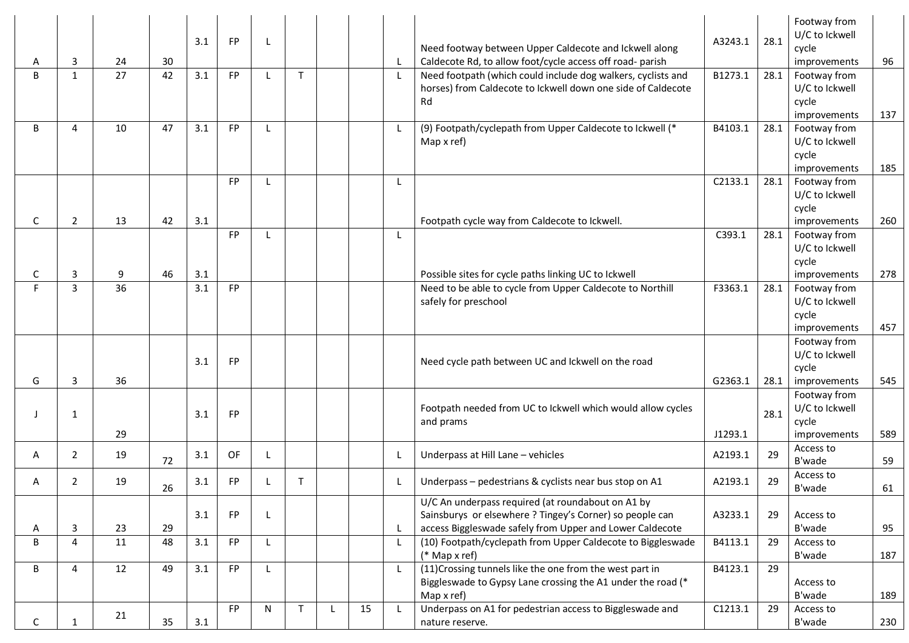| A  | 3              | 24 | 30 | 3.1 | <b>FP</b> |   |              |              |    | L            | Need footway between Upper Caldecote and Ickwell along<br>Caldecote Rd, to allow foot/cycle access off road- parish                                                       | A3243.1 | 28.1 | Footway from<br>U/C to Ickwell<br>cycle<br>improvements | 96  |
|----|----------------|----|----|-----|-----------|---|--------------|--------------|----|--------------|---------------------------------------------------------------------------------------------------------------------------------------------------------------------------|---------|------|---------------------------------------------------------|-----|
| B  | $\mathbf{1}$   | 27 | 42 | 3.1 | FP        |   | $\mathsf{T}$ |              |    | $\mathsf{L}$ | Need footpath (which could include dog walkers, cyclists and<br>horses) from Caldecote to Ickwell down one side of Caldecote<br>Rd                                        | B1273.1 | 28.1 | Footway from<br>U/C to Ickwell<br>cycle<br>improvements | 137 |
| B  | 4              | 10 | 47 | 3.1 | FP        |   |              |              |    | L            | (9) Footpath/cyclepath from Upper Caldecote to Ickwell (*<br>Map x ref)                                                                                                   | B4103.1 | 28.1 | Footway from<br>U/C to Ickwell<br>cycle<br>improvements | 185 |
| C  | $\overline{2}$ | 13 | 42 | 3.1 | FP        |   |              |              |    | L            | Footpath cycle way from Caldecote to Ickwell.                                                                                                                             | C2133.1 | 28.1 | Footway from<br>U/C to Ickwell<br>cycle<br>improvements | 260 |
| C  | 3              | 9  | 46 | 3.1 | FP        |   |              |              |    | L            | Possible sites for cycle paths linking UC to Ickwell                                                                                                                      | C393.1  | 28.1 | Footway from<br>U/C to Ickwell<br>cycle<br>improvements | 278 |
| F  | 3              | 36 |    | 3.1 | FP        |   |              |              |    |              | Need to be able to cycle from Upper Caldecote to Northill<br>safely for preschool                                                                                         | F3363.1 | 28.1 | Footway from<br>U/C to Ickwell<br>cycle<br>improvements | 457 |
| G  | 3              | 36 |    | 3.1 | <b>FP</b> |   |              |              |    |              | Need cycle path between UC and Ickwell on the road                                                                                                                        | G2363.1 | 28.1 | Footway from<br>U/C to Ickwell<br>cycle<br>improvements | 545 |
|    | 1              | 29 |    | 3.1 | <b>FP</b> |   |              |              |    |              | Footpath needed from UC to Ickwell which would allow cycles<br>and prams                                                                                                  | J1293.1 | 28.1 | Footway from<br>U/C to Ickwell<br>cycle<br>improvements | 589 |
| A  | $\overline{2}$ | 19 | 72 | 3.1 | OF        | L |              |              |    | L            | Underpass at Hill Lane - vehicles                                                                                                                                         | A2193.1 | 29   | Access to<br>B'wade                                     | 59  |
| A  | $\overline{2}$ | 19 | 26 | 3.1 | FP        |   | T            |              |    | L.           | Underpass - pedestrians & cyclists near bus stop on A1                                                                                                                    | A2193.1 | 29   | Access to<br>B'wade                                     | 61  |
| Α  | 3              | 23 | 29 | 3.1 | <b>FP</b> | L |              |              |    | L            | U/C An underpass required (at roundabout on A1 by<br>Sainsburys or elsewhere ? Tingey's Corner) so people can<br>access Biggleswade safely from Upper and Lower Caldecote | A3233.1 | 29   | Access to<br>B'wade                                     | 95  |
| B  | 4              | 11 | 48 | 3.1 | FP        | L |              |              |    | L            | (10) Footpath/cyclepath from Upper Caldecote to Biggleswade<br>(* Map x ref)                                                                                              | B4113.1 | 29   | Access to<br>B'wade                                     | 187 |
| B  | 4              | 12 | 49 | 3.1 | FP        | L |              |              |    | L.           | (11) Crossing tunnels like the one from the west part in<br>Biggleswade to Gypsy Lane crossing the A1 under the road (*<br>Map x ref)                                     | B4123.1 | 29   | Access to<br>B'wade                                     | 189 |
| C. |                | 21 | 35 | 3.1 | FP        | N | $\mathsf{T}$ | $\mathbf{L}$ | 15 | $\mathsf{L}$ | Underpass on A1 for pedestrian access to Biggleswade and<br>nature reserve.                                                                                               | C1213.1 | 29   | Access to<br>B'wade                                     | 230 |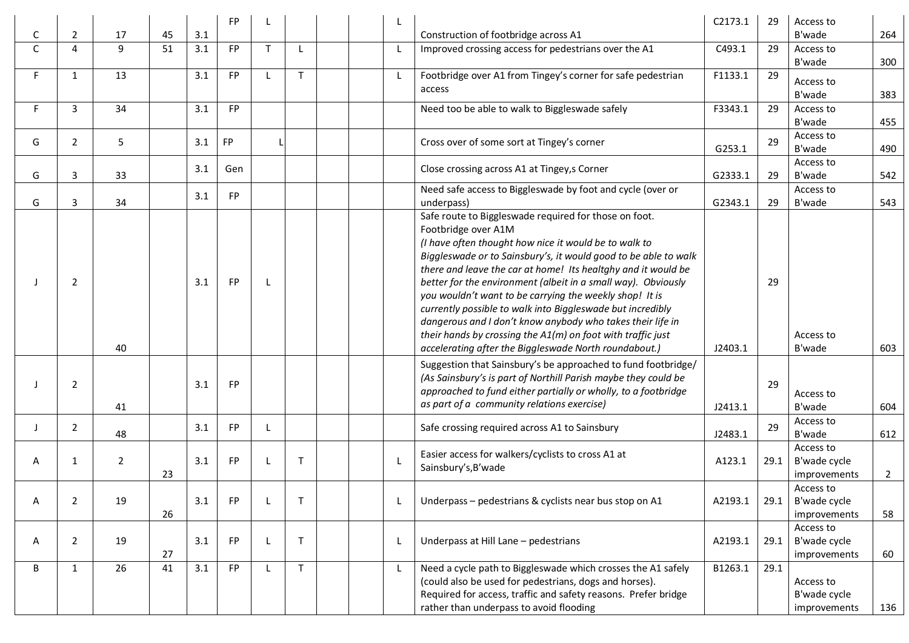|    |                |                |    |     | <b>FP</b> |              |              |              |                                                                                                                                                                                                                                                                                                                                                                                                                                                                                                                                                                                                                                                           | C2173.1 | 29   | Access to                                        |                |
|----|----------------|----------------|----|-----|-----------|--------------|--------------|--------------|-----------------------------------------------------------------------------------------------------------------------------------------------------------------------------------------------------------------------------------------------------------------------------------------------------------------------------------------------------------------------------------------------------------------------------------------------------------------------------------------------------------------------------------------------------------------------------------------------------------------------------------------------------------|---------|------|--------------------------------------------------|----------------|
| С  | $\overline{2}$ | 17             | 45 | 3.1 |           |              |              |              | Construction of footbridge across A1                                                                                                                                                                                                                                                                                                                                                                                                                                                                                                                                                                                                                      |         |      | B'wade                                           | 264            |
| C  | $\overline{4}$ | 9              | 51 | 3.1 | <b>FP</b> | $\mathsf{T}$ | L            | $\mathsf{L}$ | Improved crossing access for pedestrians over the A1                                                                                                                                                                                                                                                                                                                                                                                                                                                                                                                                                                                                      | C493.1  | 29   | Access to<br>B'wade                              | 300            |
| F. | $\mathbf{1}$   | 13             |    | 3.1 | <b>FP</b> |              | T.           | L            | Footbridge over A1 from Tingey's corner for safe pedestrian<br>access                                                                                                                                                                                                                                                                                                                                                                                                                                                                                                                                                                                     | F1133.1 | 29   | Access to<br>B'wade                              | 383            |
| E. | 3              | 34             |    | 3.1 | <b>FP</b> |              |              |              | Need too be able to walk to Biggleswade safely                                                                                                                                                                                                                                                                                                                                                                                                                                                                                                                                                                                                            | F3343.1 | 29   | Access to<br>B'wade                              | 455            |
| G  | $\overline{2}$ | 5              |    | 3.1 | <b>FP</b> |              |              |              | Cross over of some sort at Tingey's corner                                                                                                                                                                                                                                                                                                                                                                                                                                                                                                                                                                                                                | G253.1  | 29   | Access to<br>B'wade                              | 490            |
| G  | 3              | 33             |    | 3.1 | Gen       |              |              |              | Close crossing across A1 at Tingey, s Corner                                                                                                                                                                                                                                                                                                                                                                                                                                                                                                                                                                                                              | G2333.1 | 29   | Access to<br>B'wade                              | 542            |
| G  | 3              | 34             |    | 3.1 | <b>FP</b> |              |              |              | Need safe access to Biggleswade by foot and cycle (over or<br>underpass)                                                                                                                                                                                                                                                                                                                                                                                                                                                                                                                                                                                  | G2343.1 | 29   | Access to<br>B'wade                              | 543            |
|    | $\overline{2}$ | 40             |    | 3.1 | <b>FP</b> | L.           |              |              | Safe route to Biggleswade required for those on foot.<br>Footbridge over A1M<br>(I have often thought how nice it would be to walk to<br>Biggleswade or to Sainsbury's, it would good to be able to walk<br>there and leave the car at home! Its healtghy and it would be<br>better for the environment (albeit in a small way). Obviously<br>you wouldn't want to be carrying the weekly shop! It is<br>currently possible to walk into Biggleswade but incredibly<br>dangerous and I don't know anybody who takes their life in<br>their hands by crossing the A1(m) on foot with traffic just<br>accelerating after the Biggleswade North roundabout.) | J2403.1 | 29   | Access to<br>B'wade                              | 603            |
|    | $\overline{2}$ | 41             |    | 3.1 | FP.       |              |              |              | Suggestion that Sainsbury's be approached to fund footbridge/<br>(As Sainsbury's is part of Northill Parish maybe they could be<br>approached to fund either partially or wholly, to a footbridge<br>as part of a community relations exercise)                                                                                                                                                                                                                                                                                                                                                                                                           | J2413.1 | 29   | Access to<br>B'wade                              | 604            |
| J  | $\overline{2}$ | 48             |    | 3.1 | <b>FP</b> | L            |              |              | Safe crossing required across A1 to Sainsbury                                                                                                                                                                                                                                                                                                                                                                                                                                                                                                                                                                                                             | J2483.1 | 29   | Access to<br>B'wade                              | 612            |
| A  | 1              | $\overline{2}$ | 23 | 3.1 | FP        |              | $\mathsf{T}$ | $\mathsf{L}$ | Easier access for walkers/cyclists to cross A1 at<br>Sainsbury's, B'wade                                                                                                                                                                                                                                                                                                                                                                                                                                                                                                                                                                                  | A123.1  | 29.1 | Access to<br>B'wade cycle<br>improvements        | $\overline{2}$ |
| A  | 2              | 19             | 26 | 3.1 | FP.       | L            |              |              | Underpass – pedestrians & cyclists near bus stop on A1                                                                                                                                                                                                                                                                                                                                                                                                                                                                                                                                                                                                    | A2193.1 |      | Access to<br>29.1   B'wade cycle<br>improvements | 58             |
| A  | $\overline{2}$ | 19             | 27 | 3.1 | FP        |              | $\mathsf{T}$ | L            | Underpass at Hill Lane - pedestrians                                                                                                                                                                                                                                                                                                                                                                                                                                                                                                                                                                                                                      | A2193.1 | 29.1 | Access to<br>B'wade cycle<br>improvements        | 60             |
| B  | $\mathbf{1}$   | 26             | 41 | 3.1 | <b>FP</b> |              | T.           | $\mathsf{L}$ | Need a cycle path to Biggleswade which crosses the A1 safely<br>(could also be used for pedestrians, dogs and horses).<br>Required for access, traffic and safety reasons. Prefer bridge<br>rather than underpass to avoid flooding                                                                                                                                                                                                                                                                                                                                                                                                                       | B1263.1 | 29.1 | Access to<br>B'wade cycle<br>improvements        | 136            |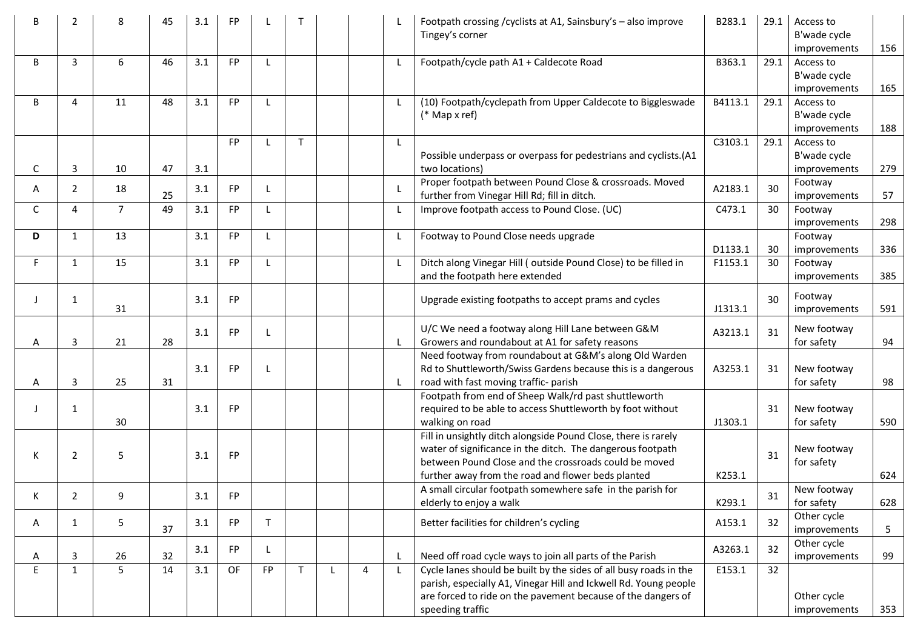| 46<br>3.1<br><b>FP</b><br>B<br>3<br>6<br>Footpath/cycle path A1 + Caldecote Road<br>B363.1<br>29.1<br>L<br>Access to<br>B'wade cycle<br>165<br>improvements<br>11<br>48<br><b>FP</b><br>(10) Footpath/cyclepath from Upper Caldecote to Biggleswade<br>B4113.1<br>B<br>3.1<br>29.1<br>Access to<br>4<br>L<br>L<br>$(*$ Map x ref)<br>B'wade cycle<br>improvements<br>188<br>29.1<br><b>FP</b><br>$\mathsf{T}$<br>C3103.1<br>Access to<br>L<br>Possible underpass or overpass for pedestrians and cyclists.(A1<br>B'wade cycle<br>3<br>47<br>3.1<br>279<br>C<br>10<br>two locations)<br>improvements<br>Proper footpath between Pound Close & crossroads. Moved<br>Footway<br>30<br>FP<br>L<br>A2183.1<br>2<br>18<br>3.1<br>A<br>-1.<br>25<br>further from Vinegar Hill Rd; fill in ditch.<br>57<br>improvements<br>$\overline{7}$<br>49<br>Improve footpath access to Pound Close. (UC)<br>3.1<br><b>FP</b><br>C473.1<br>30<br>C<br>$\overline{4}$<br>L<br>Footway<br>298<br>improvements<br>13<br>3.1<br><b>FP</b><br>Footway to Pound Close needs upgrade<br>D<br>$\mathbf{1}$<br>L<br>L<br>Footway<br>D1133.1<br>30<br>336<br>improvements<br>Ditch along Vinegar Hill (outside Pound Close) to be filled in<br>F.<br>15<br>3.1<br><b>FP</b><br>F1153.1<br>30<br>$\mathbf{1}$<br>L<br>Footway<br>L<br>and the footpath here extended<br>385<br>improvements<br>Footway<br><b>FP</b><br>30<br>3.1<br>Upgrade existing footpaths to accept prams and cycles<br>1<br>31<br>J1313.1<br>591<br>improvements<br>U/C We need a footway along Hill Lane between G&M<br>New footway<br>31<br><b>FP</b><br>A3213.1<br>3.1<br>$\mathbf{I}$<br>28<br>Growers and roundabout at A1 for safety reasons<br>3<br>21<br>for safety<br>$\mathsf{L}$<br>94<br>A<br>Need footway from roundabout at G&M's along Old Warden<br>Rd to Shuttleworth/Swiss Gardens because this is a dangerous<br>A3253.1<br>FP<br>New footway<br>3.1<br>31<br>3<br>25<br>31<br>road with fast moving traffic- parish<br>98<br>$\mathsf{L}$<br>for safety<br>Α<br>Footpath from end of Sheep Walk/rd past shuttleworth<br>FP<br>required to be able to access Shuttleworth by foot without<br>New footway<br>1<br>3.1<br>31<br>30<br>walking on road<br>J1303.1<br>for safety<br>590<br>Fill in unsightly ditch alongside Pound Close, there is rarely<br>water of significance in the ditch. The dangerous footpath<br>New footway<br>31<br>$\overline{2}$<br>5<br>3.1<br>FP<br>К<br>between Pound Close and the crossroads could be moved<br>for safety<br>further away from the road and flower beds planted<br>K253.1<br>624<br>A small circular footpath somewhere safe in the parish for<br>New footway<br>2<br>q<br>3.1<br>FP.<br>31<br>K.<br>elderly to enjoy a walk<br>K293.1<br>for safety<br>628<br>Other cycle<br>A153.1<br>5<br>3.1<br><b>FP</b><br>Better facilities for children's cycling<br>32<br>A<br>$\mathbf{1}$<br>37<br>5<br>improvements<br>Other cycle<br><b>FP</b><br>A3263.1<br>32<br>3.1<br>32<br>Need off road cycle ways to join all parts of the Parish<br>99<br>3<br>26<br>$\mathsf{L}$<br>improvements<br>A<br>E<br>5<br>Cycle lanes should be built by the sides of all busy roads in the<br>$\mathbf{1}$<br>14<br>3.1<br>OF<br><b>FP</b><br>T.<br>E153.1<br>32<br>4<br>$\mathsf{L}$<br>parish, especially A1, Vinegar Hill and Ickwell Rd. Young people<br>are forced to ride on the pavement because of the dangers of<br>Other cycle<br>speeding traffic<br>353<br>improvements | 2 | 8 | 45 | 3.1 | FP |  |  | Footpath crossing / cyclists at A1, Sainsbury's - also improve<br>Tingey's corner | B283.1 | 29.1 | Access to<br>B'wade cycle<br>improvements | 156 |
|--------------------------------------------------------------------------------------------------------------------------------------------------------------------------------------------------------------------------------------------------------------------------------------------------------------------------------------------------------------------------------------------------------------------------------------------------------------------------------------------------------------------------------------------------------------------------------------------------------------------------------------------------------------------------------------------------------------------------------------------------------------------------------------------------------------------------------------------------------------------------------------------------------------------------------------------------------------------------------------------------------------------------------------------------------------------------------------------------------------------------------------------------------------------------------------------------------------------------------------------------------------------------------------------------------------------------------------------------------------------------------------------------------------------------------------------------------------------------------------------------------------------------------------------------------------------------------------------------------------------------------------------------------------------------------------------------------------------------------------------------------------------------------------------------------------------------------------------------------------------------------------------------------------------------------------------------------------------------------------------------------------------------------------------------------------------------------------------------------------------------------------------------------------------------------------------------------------------------------------------------------------------------------------------------------------------------------------------------------------------------------------------------------------------------------------------------------------------------------------------------------------------------------------------------------------------------------------------------------------------------------------------------------------------------------------------------------------------------------------------------------------------------------------------------------------------------------------------------------------------------------------------------------------------------------------------------------------------------------------------------------------------------------------------------------------------------------------------------------------------------------------------------------------------------------------------------------------------------------------------------------------------------------------------------------------------------------------------------------------------------------------------------------------------------------------------------------------------------------|---|---|----|-----|----|--|--|-----------------------------------------------------------------------------------|--------|------|-------------------------------------------|-----|
|                                                                                                                                                                                                                                                                                                                                                                                                                                                                                                                                                                                                                                                                                                                                                                                                                                                                                                                                                                                                                                                                                                                                                                                                                                                                                                                                                                                                                                                                                                                                                                                                                                                                                                                                                                                                                                                                                                                                                                                                                                                                                                                                                                                                                                                                                                                                                                                                                                                                                                                                                                                                                                                                                                                                                                                                                                                                                                                                                                                                                                                                                                                                                                                                                                                                                                                                                                                                                                                                                |   |   |    |     |    |  |  |                                                                                   |        |      |                                           |     |
|                                                                                                                                                                                                                                                                                                                                                                                                                                                                                                                                                                                                                                                                                                                                                                                                                                                                                                                                                                                                                                                                                                                                                                                                                                                                                                                                                                                                                                                                                                                                                                                                                                                                                                                                                                                                                                                                                                                                                                                                                                                                                                                                                                                                                                                                                                                                                                                                                                                                                                                                                                                                                                                                                                                                                                                                                                                                                                                                                                                                                                                                                                                                                                                                                                                                                                                                                                                                                                                                                |   |   |    |     |    |  |  |                                                                                   |        |      |                                           |     |
|                                                                                                                                                                                                                                                                                                                                                                                                                                                                                                                                                                                                                                                                                                                                                                                                                                                                                                                                                                                                                                                                                                                                                                                                                                                                                                                                                                                                                                                                                                                                                                                                                                                                                                                                                                                                                                                                                                                                                                                                                                                                                                                                                                                                                                                                                                                                                                                                                                                                                                                                                                                                                                                                                                                                                                                                                                                                                                                                                                                                                                                                                                                                                                                                                                                                                                                                                                                                                                                                                |   |   |    |     |    |  |  |                                                                                   |        |      |                                           |     |
|                                                                                                                                                                                                                                                                                                                                                                                                                                                                                                                                                                                                                                                                                                                                                                                                                                                                                                                                                                                                                                                                                                                                                                                                                                                                                                                                                                                                                                                                                                                                                                                                                                                                                                                                                                                                                                                                                                                                                                                                                                                                                                                                                                                                                                                                                                                                                                                                                                                                                                                                                                                                                                                                                                                                                                                                                                                                                                                                                                                                                                                                                                                                                                                                                                                                                                                                                                                                                                                                                |   |   |    |     |    |  |  |                                                                                   |        |      |                                           |     |
|                                                                                                                                                                                                                                                                                                                                                                                                                                                                                                                                                                                                                                                                                                                                                                                                                                                                                                                                                                                                                                                                                                                                                                                                                                                                                                                                                                                                                                                                                                                                                                                                                                                                                                                                                                                                                                                                                                                                                                                                                                                                                                                                                                                                                                                                                                                                                                                                                                                                                                                                                                                                                                                                                                                                                                                                                                                                                                                                                                                                                                                                                                                                                                                                                                                                                                                                                                                                                                                                                |   |   |    |     |    |  |  |                                                                                   |        |      |                                           |     |
|                                                                                                                                                                                                                                                                                                                                                                                                                                                                                                                                                                                                                                                                                                                                                                                                                                                                                                                                                                                                                                                                                                                                                                                                                                                                                                                                                                                                                                                                                                                                                                                                                                                                                                                                                                                                                                                                                                                                                                                                                                                                                                                                                                                                                                                                                                                                                                                                                                                                                                                                                                                                                                                                                                                                                                                                                                                                                                                                                                                                                                                                                                                                                                                                                                                                                                                                                                                                                                                                                |   |   |    |     |    |  |  |                                                                                   |        |      |                                           |     |
|                                                                                                                                                                                                                                                                                                                                                                                                                                                                                                                                                                                                                                                                                                                                                                                                                                                                                                                                                                                                                                                                                                                                                                                                                                                                                                                                                                                                                                                                                                                                                                                                                                                                                                                                                                                                                                                                                                                                                                                                                                                                                                                                                                                                                                                                                                                                                                                                                                                                                                                                                                                                                                                                                                                                                                                                                                                                                                                                                                                                                                                                                                                                                                                                                                                                                                                                                                                                                                                                                |   |   |    |     |    |  |  |                                                                                   |        |      |                                           |     |
|                                                                                                                                                                                                                                                                                                                                                                                                                                                                                                                                                                                                                                                                                                                                                                                                                                                                                                                                                                                                                                                                                                                                                                                                                                                                                                                                                                                                                                                                                                                                                                                                                                                                                                                                                                                                                                                                                                                                                                                                                                                                                                                                                                                                                                                                                                                                                                                                                                                                                                                                                                                                                                                                                                                                                                                                                                                                                                                                                                                                                                                                                                                                                                                                                                                                                                                                                                                                                                                                                |   |   |    |     |    |  |  |                                                                                   |        |      |                                           |     |
|                                                                                                                                                                                                                                                                                                                                                                                                                                                                                                                                                                                                                                                                                                                                                                                                                                                                                                                                                                                                                                                                                                                                                                                                                                                                                                                                                                                                                                                                                                                                                                                                                                                                                                                                                                                                                                                                                                                                                                                                                                                                                                                                                                                                                                                                                                                                                                                                                                                                                                                                                                                                                                                                                                                                                                                                                                                                                                                                                                                                                                                                                                                                                                                                                                                                                                                                                                                                                                                                                |   |   |    |     |    |  |  |                                                                                   |        |      |                                           |     |
|                                                                                                                                                                                                                                                                                                                                                                                                                                                                                                                                                                                                                                                                                                                                                                                                                                                                                                                                                                                                                                                                                                                                                                                                                                                                                                                                                                                                                                                                                                                                                                                                                                                                                                                                                                                                                                                                                                                                                                                                                                                                                                                                                                                                                                                                                                                                                                                                                                                                                                                                                                                                                                                                                                                                                                                                                                                                                                                                                                                                                                                                                                                                                                                                                                                                                                                                                                                                                                                                                |   |   |    |     |    |  |  |                                                                                   |        |      |                                           |     |
|                                                                                                                                                                                                                                                                                                                                                                                                                                                                                                                                                                                                                                                                                                                                                                                                                                                                                                                                                                                                                                                                                                                                                                                                                                                                                                                                                                                                                                                                                                                                                                                                                                                                                                                                                                                                                                                                                                                                                                                                                                                                                                                                                                                                                                                                                                                                                                                                                                                                                                                                                                                                                                                                                                                                                                                                                                                                                                                                                                                                                                                                                                                                                                                                                                                                                                                                                                                                                                                                                |   |   |    |     |    |  |  |                                                                                   |        |      |                                           |     |
|                                                                                                                                                                                                                                                                                                                                                                                                                                                                                                                                                                                                                                                                                                                                                                                                                                                                                                                                                                                                                                                                                                                                                                                                                                                                                                                                                                                                                                                                                                                                                                                                                                                                                                                                                                                                                                                                                                                                                                                                                                                                                                                                                                                                                                                                                                                                                                                                                                                                                                                                                                                                                                                                                                                                                                                                                                                                                                                                                                                                                                                                                                                                                                                                                                                                                                                                                                                                                                                                                |   |   |    |     |    |  |  |                                                                                   |        |      |                                           |     |
|                                                                                                                                                                                                                                                                                                                                                                                                                                                                                                                                                                                                                                                                                                                                                                                                                                                                                                                                                                                                                                                                                                                                                                                                                                                                                                                                                                                                                                                                                                                                                                                                                                                                                                                                                                                                                                                                                                                                                                                                                                                                                                                                                                                                                                                                                                                                                                                                                                                                                                                                                                                                                                                                                                                                                                                                                                                                                                                                                                                                                                                                                                                                                                                                                                                                                                                                                                                                                                                                                |   |   |    |     |    |  |  |                                                                                   |        |      |                                           |     |
|                                                                                                                                                                                                                                                                                                                                                                                                                                                                                                                                                                                                                                                                                                                                                                                                                                                                                                                                                                                                                                                                                                                                                                                                                                                                                                                                                                                                                                                                                                                                                                                                                                                                                                                                                                                                                                                                                                                                                                                                                                                                                                                                                                                                                                                                                                                                                                                                                                                                                                                                                                                                                                                                                                                                                                                                                                                                                                                                                                                                                                                                                                                                                                                                                                                                                                                                                                                                                                                                                |   |   |    |     |    |  |  |                                                                                   |        |      |                                           |     |
|                                                                                                                                                                                                                                                                                                                                                                                                                                                                                                                                                                                                                                                                                                                                                                                                                                                                                                                                                                                                                                                                                                                                                                                                                                                                                                                                                                                                                                                                                                                                                                                                                                                                                                                                                                                                                                                                                                                                                                                                                                                                                                                                                                                                                                                                                                                                                                                                                                                                                                                                                                                                                                                                                                                                                                                                                                                                                                                                                                                                                                                                                                                                                                                                                                                                                                                                                                                                                                                                                |   |   |    |     |    |  |  |                                                                                   |        |      |                                           |     |
|                                                                                                                                                                                                                                                                                                                                                                                                                                                                                                                                                                                                                                                                                                                                                                                                                                                                                                                                                                                                                                                                                                                                                                                                                                                                                                                                                                                                                                                                                                                                                                                                                                                                                                                                                                                                                                                                                                                                                                                                                                                                                                                                                                                                                                                                                                                                                                                                                                                                                                                                                                                                                                                                                                                                                                                                                                                                                                                                                                                                                                                                                                                                                                                                                                                                                                                                                                                                                                                                                |   |   |    |     |    |  |  |                                                                                   |        |      |                                           |     |
|                                                                                                                                                                                                                                                                                                                                                                                                                                                                                                                                                                                                                                                                                                                                                                                                                                                                                                                                                                                                                                                                                                                                                                                                                                                                                                                                                                                                                                                                                                                                                                                                                                                                                                                                                                                                                                                                                                                                                                                                                                                                                                                                                                                                                                                                                                                                                                                                                                                                                                                                                                                                                                                                                                                                                                                                                                                                                                                                                                                                                                                                                                                                                                                                                                                                                                                                                                                                                                                                                |   |   |    |     |    |  |  |                                                                                   |        |      |                                           |     |
|                                                                                                                                                                                                                                                                                                                                                                                                                                                                                                                                                                                                                                                                                                                                                                                                                                                                                                                                                                                                                                                                                                                                                                                                                                                                                                                                                                                                                                                                                                                                                                                                                                                                                                                                                                                                                                                                                                                                                                                                                                                                                                                                                                                                                                                                                                                                                                                                                                                                                                                                                                                                                                                                                                                                                                                                                                                                                                                                                                                                                                                                                                                                                                                                                                                                                                                                                                                                                                                                                |   |   |    |     |    |  |  |                                                                                   |        |      |                                           |     |
|                                                                                                                                                                                                                                                                                                                                                                                                                                                                                                                                                                                                                                                                                                                                                                                                                                                                                                                                                                                                                                                                                                                                                                                                                                                                                                                                                                                                                                                                                                                                                                                                                                                                                                                                                                                                                                                                                                                                                                                                                                                                                                                                                                                                                                                                                                                                                                                                                                                                                                                                                                                                                                                                                                                                                                                                                                                                                                                                                                                                                                                                                                                                                                                                                                                                                                                                                                                                                                                                                |   |   |    |     |    |  |  |                                                                                   |        |      |                                           |     |
|                                                                                                                                                                                                                                                                                                                                                                                                                                                                                                                                                                                                                                                                                                                                                                                                                                                                                                                                                                                                                                                                                                                                                                                                                                                                                                                                                                                                                                                                                                                                                                                                                                                                                                                                                                                                                                                                                                                                                                                                                                                                                                                                                                                                                                                                                                                                                                                                                                                                                                                                                                                                                                                                                                                                                                                                                                                                                                                                                                                                                                                                                                                                                                                                                                                                                                                                                                                                                                                                                |   |   |    |     |    |  |  |                                                                                   |        |      |                                           |     |
|                                                                                                                                                                                                                                                                                                                                                                                                                                                                                                                                                                                                                                                                                                                                                                                                                                                                                                                                                                                                                                                                                                                                                                                                                                                                                                                                                                                                                                                                                                                                                                                                                                                                                                                                                                                                                                                                                                                                                                                                                                                                                                                                                                                                                                                                                                                                                                                                                                                                                                                                                                                                                                                                                                                                                                                                                                                                                                                                                                                                                                                                                                                                                                                                                                                                                                                                                                                                                                                                                |   |   |    |     |    |  |  |                                                                                   |        |      |                                           |     |
|                                                                                                                                                                                                                                                                                                                                                                                                                                                                                                                                                                                                                                                                                                                                                                                                                                                                                                                                                                                                                                                                                                                                                                                                                                                                                                                                                                                                                                                                                                                                                                                                                                                                                                                                                                                                                                                                                                                                                                                                                                                                                                                                                                                                                                                                                                                                                                                                                                                                                                                                                                                                                                                                                                                                                                                                                                                                                                                                                                                                                                                                                                                                                                                                                                                                                                                                                                                                                                                                                |   |   |    |     |    |  |  |                                                                                   |        |      |                                           |     |
|                                                                                                                                                                                                                                                                                                                                                                                                                                                                                                                                                                                                                                                                                                                                                                                                                                                                                                                                                                                                                                                                                                                                                                                                                                                                                                                                                                                                                                                                                                                                                                                                                                                                                                                                                                                                                                                                                                                                                                                                                                                                                                                                                                                                                                                                                                                                                                                                                                                                                                                                                                                                                                                                                                                                                                                                                                                                                                                                                                                                                                                                                                                                                                                                                                                                                                                                                                                                                                                                                |   |   |    |     |    |  |  |                                                                                   |        |      |                                           |     |
|                                                                                                                                                                                                                                                                                                                                                                                                                                                                                                                                                                                                                                                                                                                                                                                                                                                                                                                                                                                                                                                                                                                                                                                                                                                                                                                                                                                                                                                                                                                                                                                                                                                                                                                                                                                                                                                                                                                                                                                                                                                                                                                                                                                                                                                                                                                                                                                                                                                                                                                                                                                                                                                                                                                                                                                                                                                                                                                                                                                                                                                                                                                                                                                                                                                                                                                                                                                                                                                                                |   |   |    |     |    |  |  |                                                                                   |        |      |                                           |     |
|                                                                                                                                                                                                                                                                                                                                                                                                                                                                                                                                                                                                                                                                                                                                                                                                                                                                                                                                                                                                                                                                                                                                                                                                                                                                                                                                                                                                                                                                                                                                                                                                                                                                                                                                                                                                                                                                                                                                                                                                                                                                                                                                                                                                                                                                                                                                                                                                                                                                                                                                                                                                                                                                                                                                                                                                                                                                                                                                                                                                                                                                                                                                                                                                                                                                                                                                                                                                                                                                                |   |   |    |     |    |  |  |                                                                                   |        |      |                                           |     |
|                                                                                                                                                                                                                                                                                                                                                                                                                                                                                                                                                                                                                                                                                                                                                                                                                                                                                                                                                                                                                                                                                                                                                                                                                                                                                                                                                                                                                                                                                                                                                                                                                                                                                                                                                                                                                                                                                                                                                                                                                                                                                                                                                                                                                                                                                                                                                                                                                                                                                                                                                                                                                                                                                                                                                                                                                                                                                                                                                                                                                                                                                                                                                                                                                                                                                                                                                                                                                                                                                |   |   |    |     |    |  |  |                                                                                   |        |      |                                           |     |
|                                                                                                                                                                                                                                                                                                                                                                                                                                                                                                                                                                                                                                                                                                                                                                                                                                                                                                                                                                                                                                                                                                                                                                                                                                                                                                                                                                                                                                                                                                                                                                                                                                                                                                                                                                                                                                                                                                                                                                                                                                                                                                                                                                                                                                                                                                                                                                                                                                                                                                                                                                                                                                                                                                                                                                                                                                                                                                                                                                                                                                                                                                                                                                                                                                                                                                                                                                                                                                                                                |   |   |    |     |    |  |  |                                                                                   |        |      |                                           |     |
|                                                                                                                                                                                                                                                                                                                                                                                                                                                                                                                                                                                                                                                                                                                                                                                                                                                                                                                                                                                                                                                                                                                                                                                                                                                                                                                                                                                                                                                                                                                                                                                                                                                                                                                                                                                                                                                                                                                                                                                                                                                                                                                                                                                                                                                                                                                                                                                                                                                                                                                                                                                                                                                                                                                                                                                                                                                                                                                                                                                                                                                                                                                                                                                                                                                                                                                                                                                                                                                                                |   |   |    |     |    |  |  |                                                                                   |        |      |                                           |     |
|                                                                                                                                                                                                                                                                                                                                                                                                                                                                                                                                                                                                                                                                                                                                                                                                                                                                                                                                                                                                                                                                                                                                                                                                                                                                                                                                                                                                                                                                                                                                                                                                                                                                                                                                                                                                                                                                                                                                                                                                                                                                                                                                                                                                                                                                                                                                                                                                                                                                                                                                                                                                                                                                                                                                                                                                                                                                                                                                                                                                                                                                                                                                                                                                                                                                                                                                                                                                                                                                                |   |   |    |     |    |  |  |                                                                                   |        |      |                                           |     |
|                                                                                                                                                                                                                                                                                                                                                                                                                                                                                                                                                                                                                                                                                                                                                                                                                                                                                                                                                                                                                                                                                                                                                                                                                                                                                                                                                                                                                                                                                                                                                                                                                                                                                                                                                                                                                                                                                                                                                                                                                                                                                                                                                                                                                                                                                                                                                                                                                                                                                                                                                                                                                                                                                                                                                                                                                                                                                                                                                                                                                                                                                                                                                                                                                                                                                                                                                                                                                                                                                |   |   |    |     |    |  |  |                                                                                   |        |      |                                           |     |
|                                                                                                                                                                                                                                                                                                                                                                                                                                                                                                                                                                                                                                                                                                                                                                                                                                                                                                                                                                                                                                                                                                                                                                                                                                                                                                                                                                                                                                                                                                                                                                                                                                                                                                                                                                                                                                                                                                                                                                                                                                                                                                                                                                                                                                                                                                                                                                                                                                                                                                                                                                                                                                                                                                                                                                                                                                                                                                                                                                                                                                                                                                                                                                                                                                                                                                                                                                                                                                                                                |   |   |    |     |    |  |  |                                                                                   |        |      |                                           |     |
|                                                                                                                                                                                                                                                                                                                                                                                                                                                                                                                                                                                                                                                                                                                                                                                                                                                                                                                                                                                                                                                                                                                                                                                                                                                                                                                                                                                                                                                                                                                                                                                                                                                                                                                                                                                                                                                                                                                                                                                                                                                                                                                                                                                                                                                                                                                                                                                                                                                                                                                                                                                                                                                                                                                                                                                                                                                                                                                                                                                                                                                                                                                                                                                                                                                                                                                                                                                                                                                                                |   |   |    |     |    |  |  |                                                                                   |        |      |                                           |     |
|                                                                                                                                                                                                                                                                                                                                                                                                                                                                                                                                                                                                                                                                                                                                                                                                                                                                                                                                                                                                                                                                                                                                                                                                                                                                                                                                                                                                                                                                                                                                                                                                                                                                                                                                                                                                                                                                                                                                                                                                                                                                                                                                                                                                                                                                                                                                                                                                                                                                                                                                                                                                                                                                                                                                                                                                                                                                                                                                                                                                                                                                                                                                                                                                                                                                                                                                                                                                                                                                                |   |   |    |     |    |  |  |                                                                                   |        |      |                                           |     |
|                                                                                                                                                                                                                                                                                                                                                                                                                                                                                                                                                                                                                                                                                                                                                                                                                                                                                                                                                                                                                                                                                                                                                                                                                                                                                                                                                                                                                                                                                                                                                                                                                                                                                                                                                                                                                                                                                                                                                                                                                                                                                                                                                                                                                                                                                                                                                                                                                                                                                                                                                                                                                                                                                                                                                                                                                                                                                                                                                                                                                                                                                                                                                                                                                                                                                                                                                                                                                                                                                |   |   |    |     |    |  |  |                                                                                   |        |      |                                           |     |
|                                                                                                                                                                                                                                                                                                                                                                                                                                                                                                                                                                                                                                                                                                                                                                                                                                                                                                                                                                                                                                                                                                                                                                                                                                                                                                                                                                                                                                                                                                                                                                                                                                                                                                                                                                                                                                                                                                                                                                                                                                                                                                                                                                                                                                                                                                                                                                                                                                                                                                                                                                                                                                                                                                                                                                                                                                                                                                                                                                                                                                                                                                                                                                                                                                                                                                                                                                                                                                                                                |   |   |    |     |    |  |  |                                                                                   |        |      |                                           |     |
|                                                                                                                                                                                                                                                                                                                                                                                                                                                                                                                                                                                                                                                                                                                                                                                                                                                                                                                                                                                                                                                                                                                                                                                                                                                                                                                                                                                                                                                                                                                                                                                                                                                                                                                                                                                                                                                                                                                                                                                                                                                                                                                                                                                                                                                                                                                                                                                                                                                                                                                                                                                                                                                                                                                                                                                                                                                                                                                                                                                                                                                                                                                                                                                                                                                                                                                                                                                                                                                                                |   |   |    |     |    |  |  |                                                                                   |        |      |                                           |     |
|                                                                                                                                                                                                                                                                                                                                                                                                                                                                                                                                                                                                                                                                                                                                                                                                                                                                                                                                                                                                                                                                                                                                                                                                                                                                                                                                                                                                                                                                                                                                                                                                                                                                                                                                                                                                                                                                                                                                                                                                                                                                                                                                                                                                                                                                                                                                                                                                                                                                                                                                                                                                                                                                                                                                                                                                                                                                                                                                                                                                                                                                                                                                                                                                                                                                                                                                                                                                                                                                                |   |   |    |     |    |  |  |                                                                                   |        |      |                                           |     |
|                                                                                                                                                                                                                                                                                                                                                                                                                                                                                                                                                                                                                                                                                                                                                                                                                                                                                                                                                                                                                                                                                                                                                                                                                                                                                                                                                                                                                                                                                                                                                                                                                                                                                                                                                                                                                                                                                                                                                                                                                                                                                                                                                                                                                                                                                                                                                                                                                                                                                                                                                                                                                                                                                                                                                                                                                                                                                                                                                                                                                                                                                                                                                                                                                                                                                                                                                                                                                                                                                |   |   |    |     |    |  |  |                                                                                   |        |      |                                           |     |
|                                                                                                                                                                                                                                                                                                                                                                                                                                                                                                                                                                                                                                                                                                                                                                                                                                                                                                                                                                                                                                                                                                                                                                                                                                                                                                                                                                                                                                                                                                                                                                                                                                                                                                                                                                                                                                                                                                                                                                                                                                                                                                                                                                                                                                                                                                                                                                                                                                                                                                                                                                                                                                                                                                                                                                                                                                                                                                                                                                                                                                                                                                                                                                                                                                                                                                                                                                                                                                                                                |   |   |    |     |    |  |  |                                                                                   |        |      |                                           |     |
|                                                                                                                                                                                                                                                                                                                                                                                                                                                                                                                                                                                                                                                                                                                                                                                                                                                                                                                                                                                                                                                                                                                                                                                                                                                                                                                                                                                                                                                                                                                                                                                                                                                                                                                                                                                                                                                                                                                                                                                                                                                                                                                                                                                                                                                                                                                                                                                                                                                                                                                                                                                                                                                                                                                                                                                                                                                                                                                                                                                                                                                                                                                                                                                                                                                                                                                                                                                                                                                                                |   |   |    |     |    |  |  |                                                                                   |        |      |                                           |     |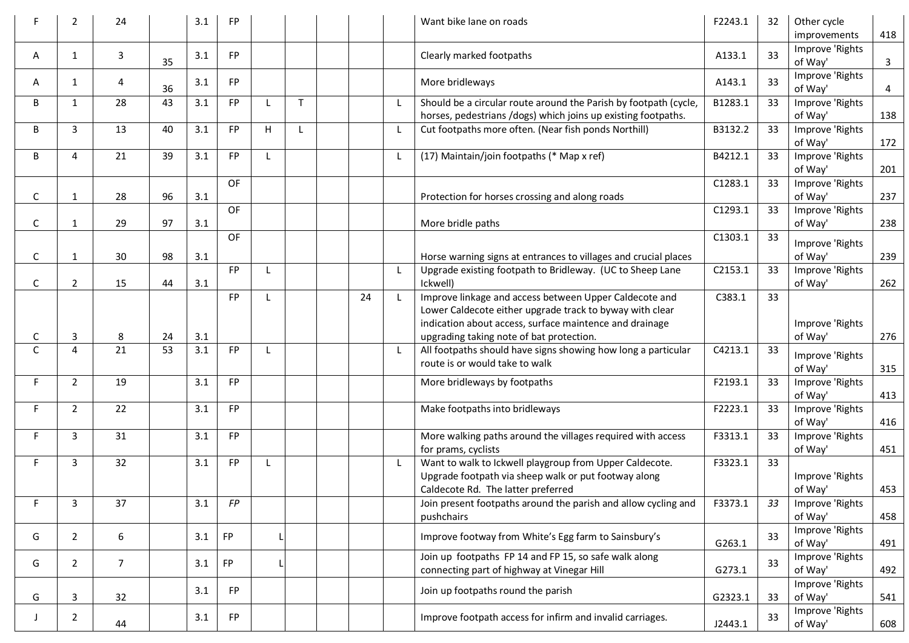|              | 2              | 24             |    | 3.1 | FP.       |   |             |    |              | Want bike lane on roads                                                                                                                               | F2243.1 | 32 | Other cycle<br>improvements | 418 |
|--------------|----------------|----------------|----|-----|-----------|---|-------------|----|--------------|-------------------------------------------------------------------------------------------------------------------------------------------------------|---------|----|-----------------------------|-----|
| A            | 1              | 3              | 35 | 3.1 | <b>FP</b> |   |             |    |              | Clearly marked footpaths                                                                                                                              | A133.1  | 33 | Improve 'Rights<br>of Way'  | 3   |
| A            | 1              | 4              | 36 | 3.1 | <b>FP</b> |   |             |    |              | More bridleways                                                                                                                                       | A143.1  | 33 | Improve 'Rights<br>of Way'  | 4   |
| B            | $\mathbf{1}$   | 28             | 43 | 3.1 | <b>FP</b> |   | $\mathsf T$ |    | $\mathsf{L}$ | Should be a circular route around the Parish by footpath (cycle,<br>horses, pedestrians /dogs) which joins up existing footpaths.                     | B1283.1 | 33 | Improve 'Rights<br>of Way'  | 138 |
| B            | 3              | 13             | 40 | 3.1 | <b>FP</b> | н |             |    | L            | Cut footpaths more often. (Near fish ponds Northill)                                                                                                  | B3132.2 | 33 | Improve 'Rights<br>of Way'  | 172 |
| B            | 4              | 21             | 39 | 3.1 | <b>FP</b> |   |             |    | L            | (17) Maintain/join footpaths (* Map x ref)                                                                                                            | B4212.1 | 33 | Improve 'Rights<br>of Way'  | 201 |
| С            | 1              | 28             | 96 | 3.1 | OF        |   |             |    |              | Protection for horses crossing and along roads                                                                                                        | C1283.1 | 33 | Improve 'Rights<br>of Way'  | 237 |
| С            | 1              | 29             | 97 | 3.1 | OF        |   |             |    |              | More bridle paths                                                                                                                                     | C1293.1 | 33 | Improve 'Rights<br>of Way'  | 238 |
| C            | 1              | 30             | 98 | 3.1 | <b>OF</b> |   |             |    |              | Horse warning signs at entrances to villages and crucial places                                                                                       | C1303.1 | 33 | Improve 'Rights<br>of Way'  | 239 |
| C            | $\overline{2}$ | 15             | 44 | 3.1 | <b>FP</b> |   |             |    | L            | Upgrade existing footpath to Bridleway. (UC to Sheep Lane<br>Ickwell)                                                                                 | C2153.1 | 33 | Improve 'Rights<br>of Way'  | 262 |
|              |                |                |    |     | <b>FP</b> |   |             | 24 | $\mathsf{L}$ | Improve linkage and access between Upper Caldecote and<br>Lower Caldecote either upgrade track to byway with clear                                    | C383.1  | 33 |                             |     |
| C            | 3              | 8              | 24 | 3.1 |           |   |             |    |              | indication about access, surface maintence and drainage<br>upgrading taking note of bat protection.                                                   |         |    | Improve 'Rights<br>of Way'  | 276 |
| $\mathsf{C}$ | $\overline{4}$ | 21             | 53 | 3.1 | FP        |   |             |    | L            | All footpaths should have signs showing how long a particular<br>route is or would take to walk                                                       | C4213.1 | 33 | Improve 'Rights<br>of Way'  | 315 |
| F            | $\overline{2}$ | 19             |    | 3.1 | FP        |   |             |    |              | More bridleways by footpaths                                                                                                                          | F2193.1 | 33 | Improve 'Rights<br>of Way'  | 413 |
| F.           | $\overline{2}$ | 22             |    | 3.1 | FP        |   |             |    |              | Make footpaths into bridleways                                                                                                                        | F2223.1 | 33 | Improve 'Rights<br>of Way'  | 416 |
| F.           | 3              | 31             |    | 3.1 | FP        |   |             |    |              | More walking paths around the villages required with access<br>for prams, cyclists                                                                    | F3313.1 | 33 | Improve 'Rights<br>of Way'  | 451 |
| F            | 3              | 32             |    | 3.1 | <b>FP</b> |   |             |    | L.           | Want to walk to Ickwell playgroup from Upper Caldecote.<br>Upgrade footpath via sheep walk or put footway along<br>Caldecote Rd. The latter preferred | F3323.1 | 33 | Improve 'Rights<br>of Way'  | 453 |
| F            | 3              | 37             |    | 3.1 | FP        |   |             |    |              | Join present footpaths around the parish and allow cycling and<br>pushchairs                                                                          | F3373.1 |    | Improve 'Rights<br>of Way'  | 458 |
| G            | $\overline{2}$ | 6              |    | 3.1 | <b>FP</b> |   |             |    |              | Improve footway from White's Egg farm to Sainsbury's                                                                                                  | G263.1  | 33 | Improve 'Rights<br>of Way'  | 491 |
| G            | $\overline{2}$ | $\overline{7}$ |    | 3.1 | <b>FP</b> |   |             |    |              | Join up footpaths FP 14 and FP 15, so safe walk along<br>connecting part of highway at Vinegar Hill                                                   | G273.1  | 33 | Improve 'Rights<br>of Way'  | 492 |
| G            | 3              | 32             |    | 3.1 | FP        |   |             |    |              | Join up footpaths round the parish                                                                                                                    | G2323.1 | 33 | Improve 'Rights<br>of Way'  | 541 |
|              | $\mathbf{2}$   | 44             |    | 3.1 | FP        |   |             |    |              | Improve footpath access for infirm and invalid carriages.                                                                                             | J2443.1 | 33 | Improve 'Rights<br>of Way'  | 608 |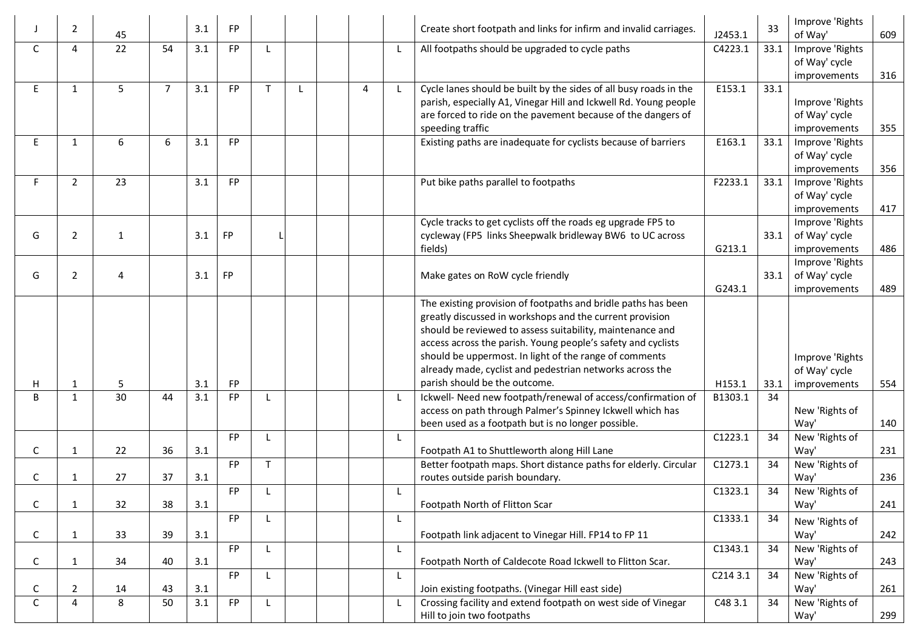|              | 2              | 45           |                | 3.1 | <b>FP</b> |   |   |   |              | Create short footpath and links for infirm and invalid carriages.                                                                                                                                                                                                                                                                                                                                             | J2453.1  | 33   | Improve 'Rights<br>of Way'                       | 609 |
|--------------|----------------|--------------|----------------|-----|-----------|---|---|---|--------------|---------------------------------------------------------------------------------------------------------------------------------------------------------------------------------------------------------------------------------------------------------------------------------------------------------------------------------------------------------------------------------------------------------------|----------|------|--------------------------------------------------|-----|
| C            | 4              | 22           | 54             | 3.1 | <b>FP</b> |   |   |   | L            | All footpaths should be upgraded to cycle paths                                                                                                                                                                                                                                                                                                                                                               | C4223.1  | 33.1 | Improve 'Rights<br>of Way' cycle<br>improvements | 316 |
| E.           | $\mathbf{1}$   | 5            | $\overline{7}$ | 3.1 | FP        | т | L | 4 | $\mathsf{L}$ | Cycle lanes should be built by the sides of all busy roads in the<br>parish, especially A1, Vinegar Hill and Ickwell Rd. Young people<br>are forced to ride on the pavement because of the dangers of<br>speeding traffic                                                                                                                                                                                     | E153.1   | 33.1 | Improve 'Rights<br>of Way' cycle<br>improvements | 355 |
| E.           | 1              | 6            | 6              | 3.1 | FP        |   |   |   |              | Existing paths are inadequate for cyclists because of barriers                                                                                                                                                                                                                                                                                                                                                | E163.1   | 33.1 | Improve 'Rights<br>of Way' cycle<br>improvements | 356 |
| F.           | $\overline{2}$ | 23           |                | 3.1 | <b>FP</b> |   |   |   |              | Put bike paths parallel to footpaths                                                                                                                                                                                                                                                                                                                                                                          | F2233.1  | 33.1 | Improve 'Rights<br>of Way' cycle<br>improvements | 417 |
| G            | $\overline{2}$ | $\mathbf{1}$ |                | 3.1 | <b>FP</b> |   |   |   |              | Cycle tracks to get cyclists off the roads eg upgrade FP5 to<br>cycleway (FP5 links Sheepwalk bridleway BW6 to UC across<br>fields)                                                                                                                                                                                                                                                                           | G213.1   | 33.1 | Improve 'Rights<br>of Way' cycle<br>improvements | 486 |
| G            | 2              | 4            |                | 3.1 | <b>FP</b> |   |   |   |              | Make gates on RoW cycle friendly                                                                                                                                                                                                                                                                                                                                                                              | G243.1   | 33.1 | Improve 'Rights<br>of Way' cycle<br>improvements | 489 |
| н            | $\mathbf{1}$   | 5            |                | 3.1 | FP        |   |   |   |              | The existing provision of footpaths and bridle paths has been<br>greatly discussed in workshops and the current provision<br>should be reviewed to assess suitability, maintenance and<br>access across the parish. Young people's safety and cyclists<br>should be uppermost. In light of the range of comments<br>already made, cyclist and pedestrian networks across the<br>parish should be the outcome. | H153.1   | 33.1 | Improve 'Rights<br>of Way' cycle<br>improvements | 554 |
| B            | $\mathbf{1}$   | 30           | 44             | 3.1 | FP        |   |   |   | L            | Ickwell- Need new footpath/renewal of access/confirmation of<br>access on path through Palmer's Spinney Ickwell which has<br>been used as a footpath but is no longer possible.                                                                                                                                                                                                                               | B1303.1  | 34   | New 'Rights of<br>Way'                           | 140 |
| C            | 1              | 22           | 36             | 3.1 | FP        |   |   |   | L.           | Footpath A1 to Shuttleworth along Hill Lane                                                                                                                                                                                                                                                                                                                                                                   | C1223.1  | 34   | New 'Rights of<br>Way'                           | 231 |
| C            | 1              | 27           | 37             | 3.1 | <b>FP</b> | T |   |   |              | Better footpath maps. Short distance paths for elderly. Circular<br>routes outside parish boundary.                                                                                                                                                                                                                                                                                                           | C1273.1  | 34   | New 'Rights of<br>Way'                           | 236 |
| C            | $\mathbf{1}$   | 32           | 38             | 3.1 | <b>FP</b> |   |   |   | L            | Footpath North of Flitton Scar                                                                                                                                                                                                                                                                                                                                                                                | C1323.1  | 34   | New 'Rights of<br>Way'                           | 241 |
| $\mathsf{C}$ | $\mathbf{1}$   | 33           | 39             | 3.1 | <b>FP</b> |   |   |   | L            | Footpath link adjacent to Vinegar Hill. FP14 to FP 11                                                                                                                                                                                                                                                                                                                                                         | C1333.1  | 34   | New 'Rights of<br>Way'                           | 242 |
| C            | $\mathbf{1}$   | 34           | 40             | 3.1 | <b>FP</b> | L |   |   | L            | Footpath North of Caldecote Road Ickwell to Flitton Scar.                                                                                                                                                                                                                                                                                                                                                     | C1343.1  | 34   | New 'Rights of<br>Way'                           | 243 |
| C            | $\overline{2}$ | 14           | 43             | 3.1 | <b>FP</b> |   |   |   | $\mathsf{L}$ | Join existing footpaths. (Vinegar Hill east side)                                                                                                                                                                                                                                                                                                                                                             | C214 3.1 | 34   | New 'Rights of<br>Way'                           | 261 |
| C            | 4              | 8            | 50             | 3.1 | <b>FP</b> |   |   |   | L            | Crossing facility and extend footpath on west side of Vinegar<br>Hill to join two footpaths                                                                                                                                                                                                                                                                                                                   | C48 3.1  | 34   | New 'Rights of<br>Way'                           | 299 |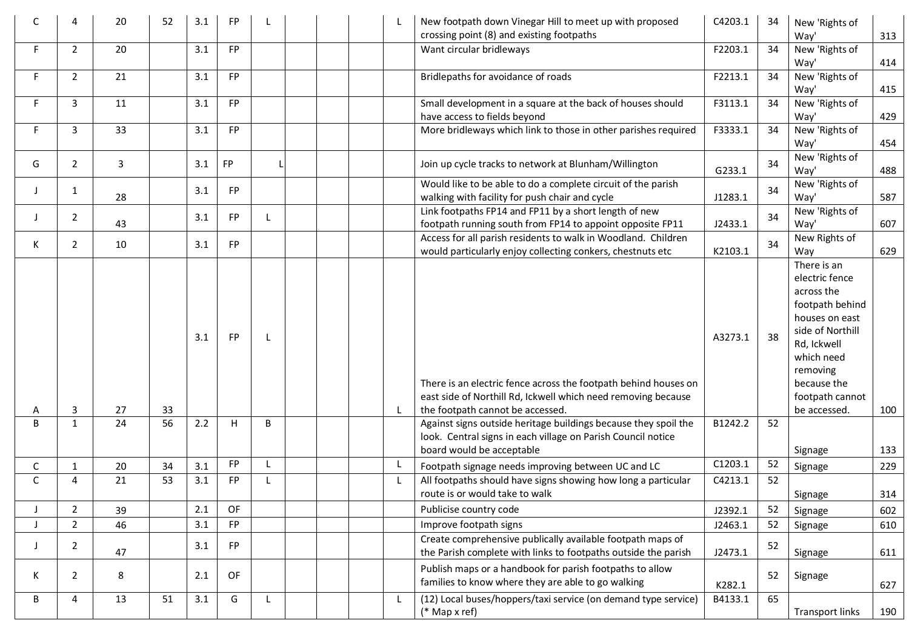| C  |                | 20 | 52 | 3.1 | FP        | L            |  | L            | New footpath down Vinegar Hill to meet up with proposed<br>crossing point (8) and existing footpaths                                                                 | C4203.1 | 34 | New 'Rights of<br>Way'                                                                                                                                                                          | 313 |
|----|----------------|----|----|-----|-----------|--------------|--|--------------|----------------------------------------------------------------------------------------------------------------------------------------------------------------------|---------|----|-------------------------------------------------------------------------------------------------------------------------------------------------------------------------------------------------|-----|
| F. | $\overline{2}$ | 20 |    | 3.1 | FP        |              |  |              | Want circular bridleways                                                                                                                                             | F2203.1 | 34 | New 'Rights of<br>Way'                                                                                                                                                                          | 414 |
| F  | $\overline{2}$ | 21 |    | 3.1 | FP        |              |  |              | Bridlepaths for avoidance of roads                                                                                                                                   | F2213.1 | 34 | New 'Rights of<br>Way'                                                                                                                                                                          | 415 |
| F  | 3              | 11 |    | 3.1 | <b>FP</b> |              |  |              | Small development in a square at the back of houses should<br>have access to fields beyond                                                                           | F3113.1 | 34 | New 'Rights of<br>Way'                                                                                                                                                                          | 429 |
| F  | 3              | 33 |    | 3.1 | FP        |              |  |              | More bridleways which link to those in other parishes required                                                                                                       | F3333.1 | 34 | New 'Rights of<br>Way'                                                                                                                                                                          | 454 |
| G  | $\overline{2}$ | 3  |    | 3.1 | <b>FP</b> |              |  |              | Join up cycle tracks to network at Blunham/Willington                                                                                                                | G233.1  | 34 | New 'Rights of<br>Way'                                                                                                                                                                          | 488 |
|    | 1              | 28 |    | 3.1 | FP        |              |  |              | Would like to be able to do a complete circuit of the parish<br>walking with facility for push chair and cycle                                                       | J1283.1 | 34 | New 'Rights of<br>Way'                                                                                                                                                                          | 587 |
|    | $\overline{2}$ | 43 |    | 3.1 | <b>FP</b> | L            |  |              | Link footpaths FP14 and FP11 by a short length of new<br>footpath running south from FP14 to appoint opposite FP11                                                   | J2433.1 | 34 | New 'Rights of<br>Way'                                                                                                                                                                          | 607 |
| K  | $\overline{2}$ | 10 |    | 3.1 | <b>FP</b> |              |  |              | Access for all parish residents to walk in Woodland. Children<br>would particularly enjoy collecting conkers, chestnuts etc                                          | K2103.1 | 34 | New Rights of<br>Way                                                                                                                                                                            | 629 |
| A  | 3              | 27 | 33 | 3.1 | <b>FP</b> | $\mathsf{L}$ |  | $\mathsf{L}$ | There is an electric fence across the footpath behind houses on<br>east side of Northill Rd, Ickwell which need removing because<br>the footpath cannot be accessed. | A3273.1 | 38 | There is an<br>electric fence<br>across the<br>footpath behind<br>houses on east<br>side of Northill<br>Rd, Ickwell<br>which need<br>removing<br>because the<br>footpath cannot<br>be accessed. | 100 |
| B  | 1              | 24 | 56 | 2.2 | н         | B            |  |              | Against signs outside heritage buildings because they spoil the<br>look. Central signs in each village on Parish Council notice<br>board would be acceptable         | B1242.2 | 52 | Signage                                                                                                                                                                                         | 133 |
| С  | 1              | 20 | 34 | 3.1 | <b>FP</b> |              |  | L.           | Footpath signage needs improving between UC and LC                                                                                                                   | C1203.1 | 52 | Signage                                                                                                                                                                                         | 229 |
| C  | $\overline{a}$ | 21 | 53 | 3.1 | FP        | L            |  | L            | All footpaths should have signs showing how long a particular<br>route is or would take to walk                                                                      | C4213.1 | 52 | Signage                                                                                                                                                                                         | 314 |
|    | $\overline{2}$ | 39 |    | 2.1 | OF        |              |  |              | Publicise country code                                                                                                                                               | J2392.1 | 52 | Signage                                                                                                                                                                                         | 602 |
|    | $\overline{2}$ | 46 |    | 3.1 | FP        |              |  |              | Improve footpath signs                                                                                                                                               | J2463.1 | 52 | Signage                                                                                                                                                                                         | 610 |
| J  | 2              | 47 |    | 3.1 | FP        |              |  |              | Create comprehensive publically available footpath maps of<br>the Parish complete with links to footpaths outside the parish                                         | J2473.1 | 52 | Signage                                                                                                                                                                                         | 611 |
| K  | 2              | 8  |    | 2.1 | OF        |              |  |              | Publish maps or a handbook for parish footpaths to allow<br>families to know where they are able to go walking                                                       | K282.1  | 52 | Signage                                                                                                                                                                                         | 627 |
| B  | 4              | 13 | 51 | 3.1 | G         | L            |  | L            | (12) Local buses/hoppers/taxi service (on demand type service)<br>$(*$ Map x ref)                                                                                    | B4133.1 | 65 | <b>Transport links</b>                                                                                                                                                                          | 190 |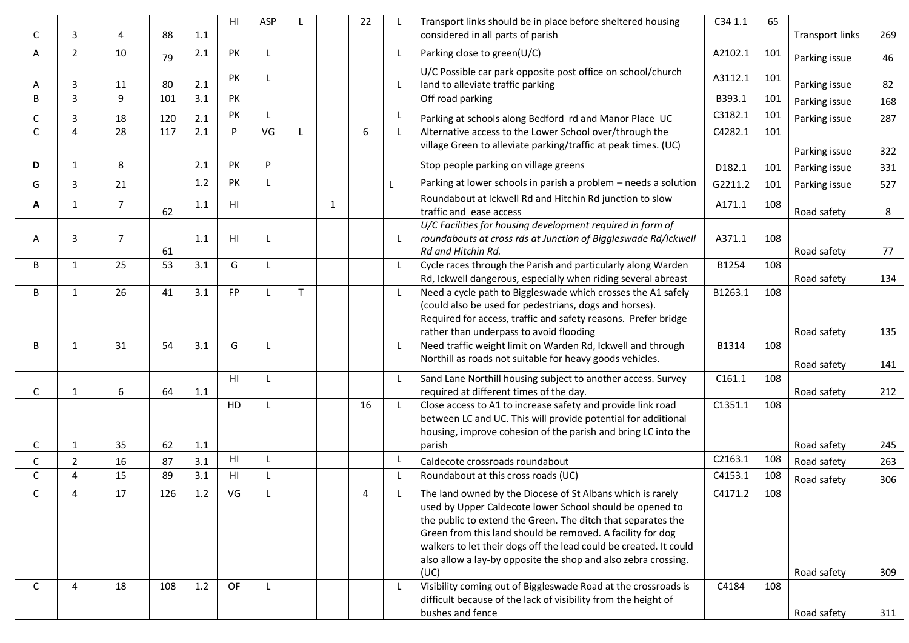| С            | 3                      | 4              | 88  | 1.1 | HI             | <b>ASP</b> |              |              | 22 |              | Transport links should be in place before sheltered housing<br>considered in all parts of parish                                                                                                                                                                                                                                                                                                    | C34 1.1 | 65  | <b>Transport links</b> | 269 |
|--------------|------------------------|----------------|-----|-----|----------------|------------|--------------|--------------|----|--------------|-----------------------------------------------------------------------------------------------------------------------------------------------------------------------------------------------------------------------------------------------------------------------------------------------------------------------------------------------------------------------------------------------------|---------|-----|------------------------|-----|
| A            | $\overline{2}$         | 10             | 79  | 2.1 | PK             | L          |              |              |    | $\mathsf{L}$ | Parking close to green(U/C)                                                                                                                                                                                                                                                                                                                                                                         | A2102.1 | 101 | Parking issue          | 46  |
| A            | 3                      | 11             | 80  | 2.1 | PK             | L          |              |              |    | L            | U/C Possible car park opposite post office on school/church<br>land to alleviate traffic parking                                                                                                                                                                                                                                                                                                    | A3112.1 | 101 | Parking issue          | 82  |
| B            | $\overline{3}$         | 9              | 101 | 3.1 | PK             |            |              |              |    |              | Off road parking                                                                                                                                                                                                                                                                                                                                                                                    | B393.1  | 101 | Parking issue          | 168 |
| С            | 3                      | 18             | 120 | 2.1 | PK             | т.         |              |              |    | L            | Parking at schools along Bedford rd and Manor Place UC                                                                                                                                                                                                                                                                                                                                              | C3182.1 | 101 | Parking issue          | 287 |
| C            | $\overline{4}$         | 28             | 117 | 2.1 | P              | VG         | $\mathbf{L}$ |              | 6  | L            | Alternative access to the Lower School over/through the<br>village Green to alleviate parking/traffic at peak times. (UC)                                                                                                                                                                                                                                                                           | C4282.1 | 101 | Parking issue          | 322 |
| D            | 1                      | 8              |     | 2.1 | PK             | P          |              |              |    |              | Stop people parking on village greens                                                                                                                                                                                                                                                                                                                                                               | D182.1  | 101 | Parking issue          | 331 |
| G            | 3                      | 21             |     | 1.2 | PK             | L          |              |              |    |              | Parking at lower schools in parish a problem - needs a solution                                                                                                                                                                                                                                                                                                                                     | G2211.2 | 101 | Parking issue          | 527 |
| A            | 1                      | 7              | 62  | 1.1 | HI             |            |              | $\mathbf{1}$ |    |              | Roundabout at Ickwell Rd and Hitchin Rd junction to slow<br>traffic and ease access                                                                                                                                                                                                                                                                                                                 | A171.1  | 108 | Road safety            | 8   |
| A            | 3                      | $\overline{7}$ | 61  | 1.1 | H1             |            |              |              |    | $\mathsf{L}$ | U/C Facilities for housing development required in form of<br>roundabouts at cross rds at Junction of Biggleswade Rd/Ickwell<br>Rd and Hitchin Rd.                                                                                                                                                                                                                                                  | A371.1  | 108 | Road safety            | 77  |
| B            | 1                      | 25             | 53  | 3.1 | G              |            |              |              |    | $\mathsf{L}$ | Cycle races through the Parish and particularly along Warden<br>Rd, Ickwell dangerous, especially when riding several abreast                                                                                                                                                                                                                                                                       | B1254   | 108 | Road safety            | 134 |
| B            | 1                      | 26             | 41  | 3.1 | FP             |            | T.           |              |    | L            | Need a cycle path to Biggleswade which crosses the A1 safely<br>(could also be used for pedestrians, dogs and horses).<br>Required for access, traffic and safety reasons. Prefer bridge                                                                                                                                                                                                            | B1263.1 | 108 |                        |     |
| B            | $\mathbf{1}$           | 31             | 54  | 3.1 | G              |            |              |              |    | L            | rather than underpass to avoid flooding<br>Need traffic weight limit on Warden Rd, Ickwell and through                                                                                                                                                                                                                                                                                              | B1314   | 108 | Road safety            | 135 |
|              |                        |                |     |     |                |            |              |              |    |              | Northill as roads not suitable for heavy goods vehicles.                                                                                                                                                                                                                                                                                                                                            |         |     | Road safety            | 141 |
| C            | 1                      | 6              | 64  | 1.1 | HI             | L          |              |              |    | $\mathsf{L}$ | Sand Lane Northill housing subject to another access. Survey<br>required at different times of the day.                                                                                                                                                                                                                                                                                             | C161.1  | 108 | Road safety            | 212 |
| C            | 1                      | 35             | 62  | 1.1 | HD             | L          |              |              | 16 | $\mathsf{L}$ | Close access to A1 to increase safety and provide link road<br>between LC and UC. This will provide potential for additional<br>housing, improve cohesion of the parish and bring LC into the<br>parish                                                                                                                                                                                             | C1351.1 | 108 | Road safety            | 245 |
| С            | 2                      | 16             | 87  | 3.1 | H <sub>l</sub> |            |              |              |    | L            | Caldecote crossroads roundabout                                                                                                                                                                                                                                                                                                                                                                     | C2163.1 | 108 | Road safety            | 263 |
| C            | $\overline{4}$         | 15             | 89  | 3.1 | HI             | L          |              |              |    | L            | Roundabout at this cross roads (UC)                                                                                                                                                                                                                                                                                                                                                                 | C4153.1 | 108 | Road safety            | 306 |
| C.           | $\boldsymbol{\Lambda}$ | 17             | 126 | 1.2 | VG             |            |              |              | 4  |              | The land owned by the Diocese of St Albans which is rarely<br>used by Upper Caldecote lower School should be opened to<br>the public to extend the Green. The ditch that separates the<br>Green from this land should be removed. A facility for dog<br>walkers to let their dogs off the lead could be created. It could<br>also allow a lay-by opposite the shop and also zebra crossing.<br>(UC) | C4171.2 | 108 | Road safety            | 309 |
| $\mathsf{C}$ | 4                      | 18             | 108 | 1.2 | OF             | L          |              |              |    | L            | Visibility coming out of Biggleswade Road at the crossroads is<br>difficult because of the lack of visibility from the height of<br>bushes and fence                                                                                                                                                                                                                                                | C4184   | 108 | Road safety            | 311 |